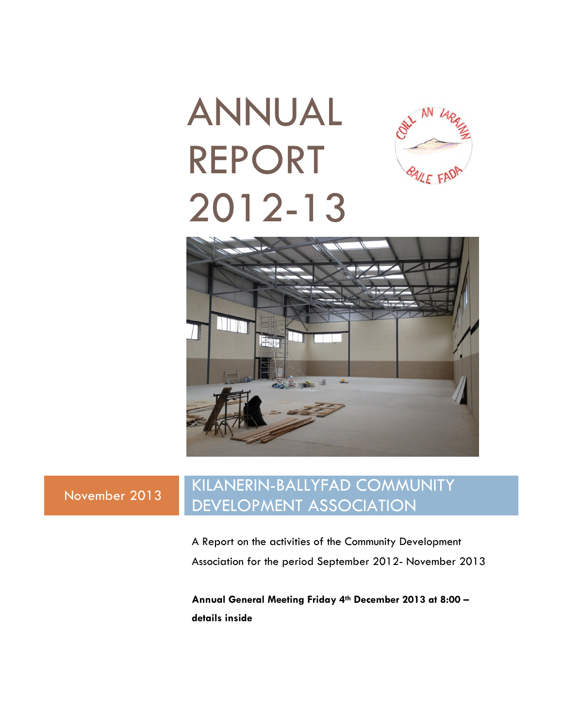## ANNUAL REPORT BAILE FAD 2012-13



### November 2013 KILANERIN-BALLYFAD COMMUNITY DEVELOPMENT ASSOCIATION

A Report on the activities of the Community Development Association for the period September 2012- November 2013

**Annual General Meeting Friday 4th December 2013 at 8:00 – details inside**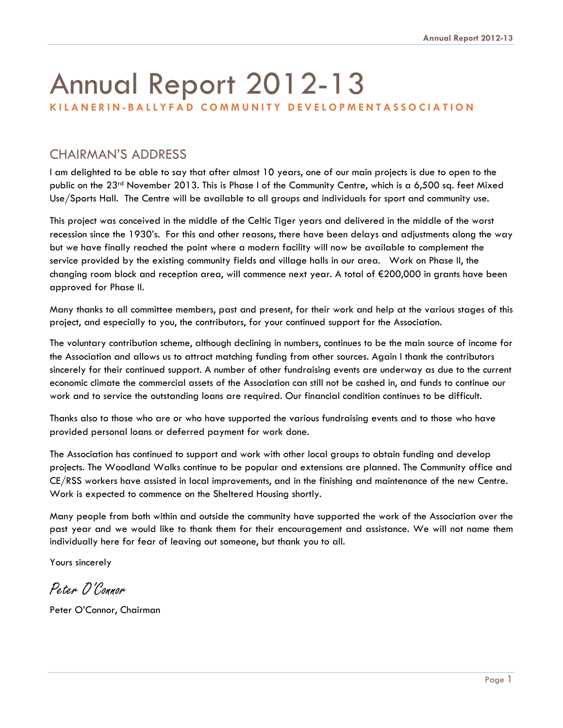# Annual Report 2012-13

#### **KILANERIN-BALLYFAD COMMUNITY DEVELOPMENTASSOCIATION**

#### CHAIRMAN'S ADDRESS

I am delighted to be able to say that after almost 10 years, one of our main projects is due to open to the public on the 23rd November 2013. This is Phase I of the Community Centre, which is a 6,500 sq. feet Mixed Use/Sports Hall. The Centre will be available to all groups and individuals for sport and community use.

This project was conceived in the middle of the Celtic Tiger years and delivered in the middle of the worst recession since the 1930's. For this and other reasons, there have been delays and adjustments along the way but we have finally reached the point where a modern facility will now be available to complement the service provided by the existing community fields and village halls in our area. Work on Phase II, the changing room block and reception area, will commence next year. A total of €200,000 in grants have been approved for Phase II.

Many thanks to all committee members, past and present, for their work and help at the various stages of this project, and especially to you, the contributors, for your continued support for the Association.

The voluntary contribution scheme, although declining in numbers, continues to be the main source of income for the Association and allows us to attract matching funding from other sources. Again I thank the contributors sincerely for their continued support. A number of other fundraising events are underway as due to the current economic climate the commercial assets of the Association can still not be cashed in, and funds to continue our work and to service the outstanding loans are required. Our financial condition continues to be difficult.

Thanks also to those who are or who have supported the various fundraising events and to those who have provided personal loans or deferred payment for work done.

The Association has continued to support and work with other local groups to obtain funding and develop projects. The Woodland Walks continue to be popular and extensions are planned. The Community office and CE/RSS workers have assisted in local improvements, and in the finishing and maintenance of the new Centre. Work is expected to commence on the Sheltered Housing shortly.

Many people from both within and outside the community have supported the work of the Association over the past year and we would like to thank them for their encouragement and assistance. We will not name them individually here for fear of leaving out someone, but thank you to all.

Yours sincerely

Peter O'Connor

Peter O'Connor, Chairman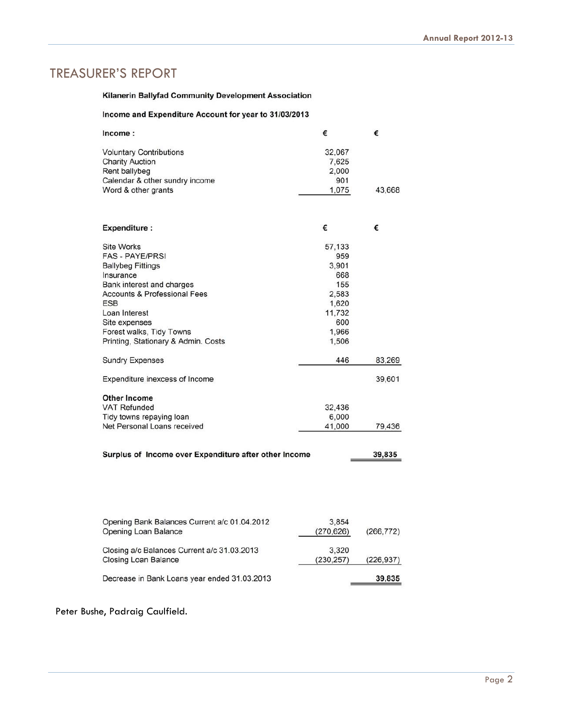#### TREASURER'S REPORT

#### Kilanerin Ballyfad Community Development Association

#### Income and Expenditure Account for year to 31/03/2013

| Income:                                                         | €          | €          |
|-----------------------------------------------------------------|------------|------------|
| <b>Voluntary Contributions</b>                                  | 32,067     |            |
| <b>Charity Auction</b>                                          | 7,625      |            |
| Rent ballybeg                                                   | 2,000      |            |
| Calendar & other sundry income                                  | 901        |            |
| Word & other grants                                             | 1,075      | 43,668     |
| <b>Expenditure:</b>                                             | €          | €          |
|                                                                 |            |            |
| <b>Site Works</b>                                               | 57,133     |            |
| <b>FAS - PAYE/PRSI</b>                                          | 959        |            |
| <b>Ballybeg Fittings</b>                                        | 3,901      |            |
| Insurance                                                       | 668        |            |
| Bank interest and charges                                       | 155        |            |
| <b>Accounts &amp; Professional Fees</b>                         | 2,583      |            |
| <b>ESB</b>                                                      | 1,620      |            |
| Loan Interest                                                   | 11,732     |            |
| Site expenses                                                   | 600        |            |
| Forest walks, Tidy Towns                                        | 1,966      |            |
| Printing, Stationary & Admin. Costs                             | 1,506      |            |
| <b>Sundry Expenses</b>                                          | 446        | 83,269     |
| Expenditure inexcess of Income                                  |            | 39,601     |
| <b>Other Income</b>                                             |            |            |
| <b>VAT Refunded</b>                                             | 32,436     |            |
| Tidy towns repaying loan                                        | 6,000      |            |
| Net Personal Loans received                                     | 41,000     | 79,436     |
| Surplus of Income over Expenditure after other Income<br>39,835 |            |            |
|                                                                 |            |            |
|                                                                 |            |            |
|                                                                 |            |            |
| Opening Bank Balances Current a/c 01.04.2012                    | 3,854      |            |
| Opening Loan Balance                                            | (270, 626) | (266, 772) |
| Closing a/c Balances Current a/c 31.03.2013                     | 3,320      |            |
| <b>Closing Loan Balance</b>                                     | (230, 257) | (226, 937) |
| Decrease in Bank Loans year ended 31.03.2013                    |            | 39,835     |

#### Peter Bushe, Padraig Caulfield.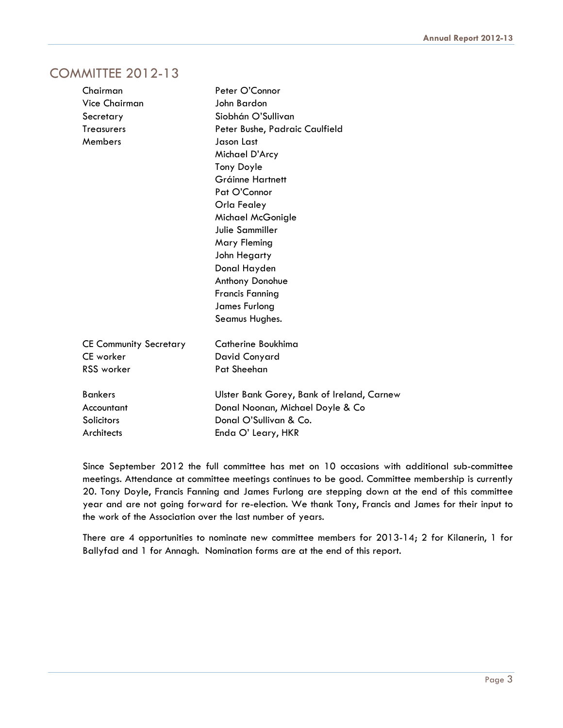#### COMMITTEE 2012-13

| Chairman                      | Peter O'Connor                             |
|-------------------------------|--------------------------------------------|
| <b>Vice Chairman</b>          | John Bardon                                |
| Secretary                     | Siobhán O'Sullivan                         |
| <b>Treasurers</b>             | Peter Bushe, Padraic Caulfield             |
| Members                       | Jason Last                                 |
|                               | Michael D'Arcy                             |
|                               | <b>Tony Doyle</b>                          |
|                               | Gráinne Hartnett                           |
|                               | Pat O'Connor                               |
|                               | Orla Fealey                                |
|                               | Michael McGonigle                          |
|                               | Julie Sammiller                            |
|                               | Mary Fleming                               |
|                               | John Hegarty                               |
|                               | Donal Hayden                               |
|                               | Anthony Donohue                            |
|                               | <b>Francis Fanning</b>                     |
|                               | James Furlong                              |
|                               | Seamus Hughes.                             |
| <b>CE Community Secretary</b> | Catherine Boukhima                         |
| <b>CE</b> worker              | David Conyard                              |
| <b>RSS</b> worker             | Pat Sheehan                                |
| <b>Bankers</b>                | Ulster Bank Gorey, Bank of Ireland, Carnew |
| Accountant                    | Donal Noonan, Michael Doyle & Co           |
| Solicitors                    | Donal O'Sullivan & Co.                     |
| Architects                    | Enda O' Leary, HKR                         |

 Since September 2012 the full committee has met on 10 occasions with additional sub-committee meetings. Attendance at committee meetings continues to be good. Committee membership is currently 20. Tony Doyle, Francis Fanning and James Furlong are stepping down at the end of this committee year and are not going forward for re-election. We thank Tony, Francis and James for their input to the work of the Association over the last number of years.

 There are 4 opportunities to nominate new committee members for 2013-14; 2 for Kilanerin, 1 for Ballyfad and 1 for Annagh. Nomination forms are at the end of this report.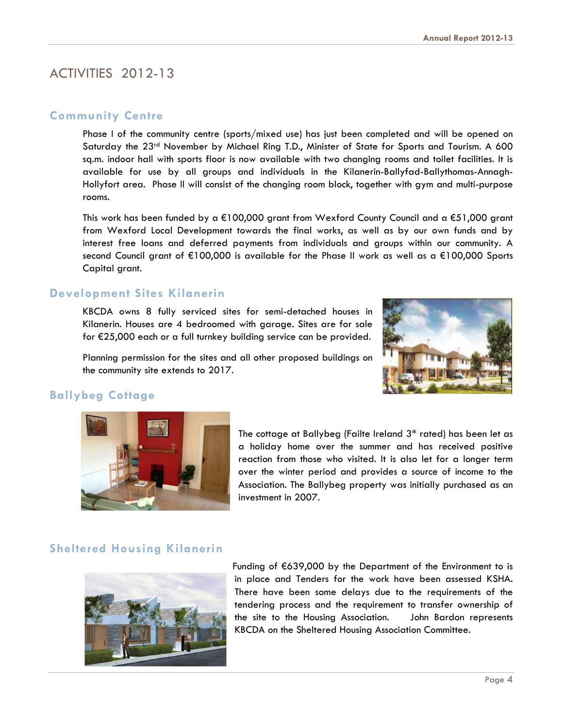#### ACTIVITIES 2012-13

#### **Community Centre**

 Phase I of the community centre (sports/mixed use) has just been completed and will be opened on Saturday the 23<sup>rd</sup> November by Michael Ring T.D., Minister of State for Sports and Tourism. A 600 sq.m. indoor hall with sports floor is now available with two changing rooms and toilet facilities. It is available for use by all groups and individuals in the Kilanerin-Ballyfad-Ballythomas-Annagh-Hollyfort area. Phase II will consist of the changing room block, together with gym and multi-purpose rooms.

 This work has been funded by a €100,000 grant from Wexford County Council and a €51,000 grant from Wexford Local Development towards the final works, as well as by our own funds and by interest free loans and deferred payments from individuals and groups within our community. A second Council grant of €100,000 is available for the Phase II work as well as a €100,000 Sports Capital grant.

#### **Development Sites Kilanerin**

KBCDA owns 8 fully serviced sites for semi-detached houses in Kilanerin. Houses are 4 bedroomed with garage. Sites are for sale for €25,000 each or a full turnkey building service can be provided.

 Planning permission for the sites and all other proposed buildings on the community site extends to 2017.

#### **Ballybeg Cottage**



The cottage at Ballybeg (Failte Ireland 3\* rated) has been let as a holiday home over the summer and has received positive reaction from those who visited. It is also let for a longer term over the winter period and provides a source of income to the Association. The Ballybeg property was initially purchased as an investment in 2007.

#### **Sheltered Housing Kilanerin**



 Funding of €639,000 by the Department of the Environment to is in place and Tenders for the work have been assessed KSHA. There have been some delays due to the requirements of the tendering process and the requirement to transfer ownership of the site to the Housing Association. John Bardon represents KBCDA on the Sheltered Housing Association Committee.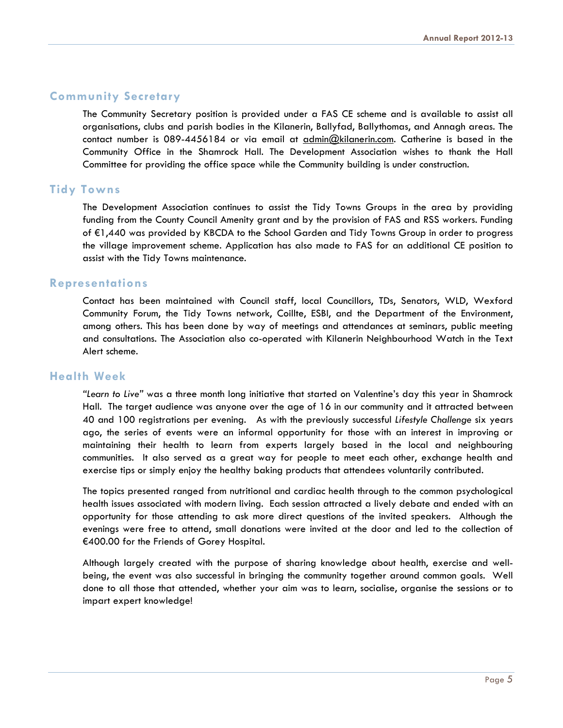#### **Community Secretary**

 The Community Secretary position is provided under a FAS CE scheme and is available to assist all organisations, clubs and parish bodies in the Kilanerin, Ballyfad, Ballythomas, and Annagh areas. The contact number is 089-4456184 or via email at admin@kilanerin.com. Catherine is based in the Community Office in the Shamrock Hall. The Development Association wishes to thank the Hall Committee for providing the office space while the Community building is under construction.

#### **Tidy Towns**

 The Development Association continues to assist the Tidy Towns Groups in the area by providing funding from the County Council Amenity grant and by the provision of FAS and RSS workers. Funding of €1,440 was provided by KBCDA to the School Garden and Tidy Towns Group in order to progress the village improvement scheme. Application has also made to FAS for an additional CE position to assist with the Tidy Towns maintenance.

#### **Representations**

 Contact has been maintained with Council staff, local Councillors, TDs, Senators, WLD, Wexford Community Forum, the Tidy Towns network, Coillte, ESBI, and the Department of the Environment, among others. This has been done by way of meetings and attendances at seminars, public meeting and consultations. The Association also co-operated with Kilanerin Neighbourhood Watch in the Text Alert scheme.

#### **Health Week**

*"Learn to Live"* was a three month long initiative that started on Valentine's day this year in Shamrock Hall. The target audience was anyone over the age of 16 in our community and it attracted between 40 and 100 registrations per evening. As with the previously successful *Lifestyle Challenge* six years ago, the series of events were an informal opportunity for those with an interest in improving or maintaining their health to learn from experts largely based in the local and neighbouring communities. It also served as a great way for people to meet each other, exchange health and exercise tips or simply enjoy the healthy baking products that attendees voluntarily contributed.

 The topics presented ranged from nutritional and cardiac health through to the common psychological health issues associated with modern living. Each session attracted a lively debate and ended with an opportunity for those attending to ask more direct questions of the invited speakers. Although the evenings were free to attend, small donations were invited at the door and led to the collection of €400.00 for the Friends of Gorey Hospital.

 Although largely created with the purpose of sharing knowledge about health, exercise and wellbeing, the event was also successful in bringing the community together around common goals. Well done to all those that attended, whether your aim was to learn, socialise, organise the sessions or to impart expert knowledge!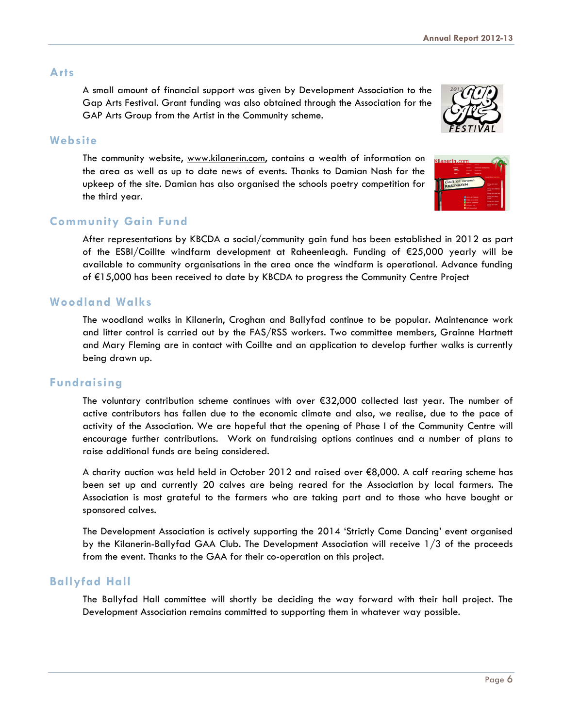#### **Arts**

A small amount of financial support was given by Development Association to the Gap Arts Festival. Grant funding was also obtained through the Association for the GAP Arts Group from the Artist in the Community scheme.



#### **Website**

The community website, www.kilanerin.com, contains a wealth of information on the area as well as up to date news of events. Thanks to Damian Nash for the upkeep of the site. Damian has also organised the schools poetry competition for the third year.

#### **Community Gain Fund**

 After representations by KBCDA a social/community gain fund has been established in 2012 as part of the ESBI/Coillte windfarm development at Raheenleagh. Funding of €25,000 yearly will be available to community organisations in the area once the windfarm is operational. Advance funding of €15,000 has been received to date by KBCDA to progress the Community Centre Project

#### **Woodland Walks**

 The woodland walks in Kilanerin, Croghan and Ballyfad continue to be popular. Maintenance work and litter control is carried out by the FAS/RSS workers. Two committee members, Grainne Hartnett and Mary Fleming are in contact with Coillte and an application to develop further walks is currently being drawn up.

#### **Fundraising**

 The voluntary contribution scheme continues with over €32,000 collected last year. The number of active contributors has fallen due to the economic climate and also, we realise, due to the pace of activity of the Association. We are hopeful that the opening of Phase I of the Community Centre will encourage further contributions. Work on fundraising options continues and a number of plans to raise additional funds are being considered.

 A charity auction was held held in October 2012 and raised over €8,000. A calf rearing scheme has been set up and currently 20 calves are being reared for the Association by local farmers. The Association is most grateful to the farmers who are taking part and to those who have bought or sponsored calves.

 The Development Association is actively supporting the 2014 'Strictly Come Dancing' event organised by the Kilanerin-Ballyfad GAA Club. The Development Association will receive 1/3 of the proceeds from the event. Thanks to the GAA for their co-operation on this project.

#### **Ballyfad Hall**

 The Ballyfad Hall committee will shortly be deciding the way forward with their hall project. The Development Association remains committed to supporting them in whatever way possible.

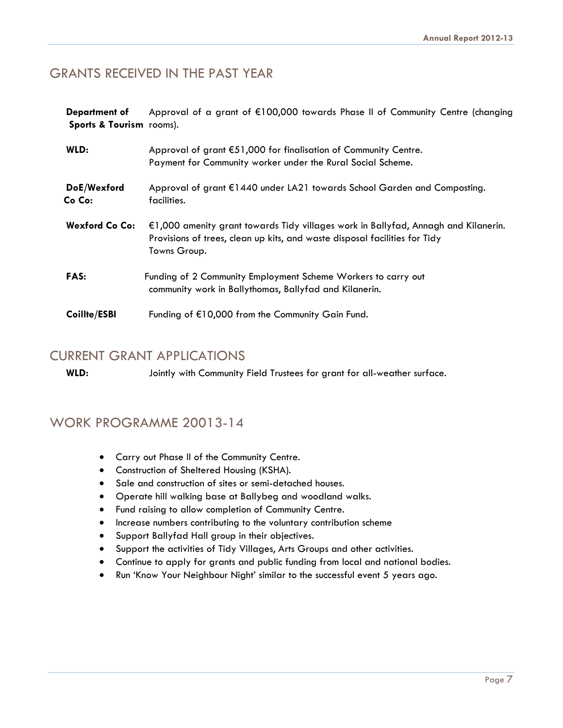#### GRANTS RECEIVED IN THE PAST YEAR

**Department of** Approval of a grant of €100,000 towards Phase II of Community Centre (changing **Sports & Tourism** rooms).

| WLD:                  | Approval of grant €51,000 for finalisation of Community Centre.<br>Payment for Community worker under the Rural Social Scheme.                                                   |
|-----------------------|----------------------------------------------------------------------------------------------------------------------------------------------------------------------------------|
| DoE/Wexford<br>Co Co: | Approval of grant €1440 under LA21 towards School Garden and Composting.<br>facilities.                                                                                          |
| <b>Wexford Co Co:</b> | €1,000 amenity grant towards Tidy villages work in Ballyfad, Annagh and Kilanerin.<br>Provisions of trees, clean up kits, and waste disposal facilities for Tidy<br>Towns Group. |
| <b>FAS:</b>           | Funding of 2 Community Employment Scheme Workers to carry out<br>community work in Ballythomas, Ballyfad and Kilanerin.                                                          |
| Coillte/ESBI          | Funding of $E10,000$ from the Community Gain Fund.                                                                                                                               |

#### CURRENT GRANT APPLICATIONS

**WLD:**Jointly with Community Field Trustees for grant for all-weather surface.

#### WORK PROGRAMME 20013-14

- Carry out Phase II of the Community Centre.
- Construction of Sheltered Housing (KSHA).
- Sale and construction of sites or semi-detached houses.
- Operate hill walking base at Ballybeg and woodland walks.
- Fund raising to allow completion of Community Centre.
- Increase numbers contributing to the voluntary contribution scheme
- Support Ballyfad Hall group in their objectives.
- Support the activities of Tidy Villages, Arts Groups and other activities.
- Continue to apply for grants and public funding from local and national bodies.
- Run 'Know Your Neighbour Night' similar to the successful event 5 years ago.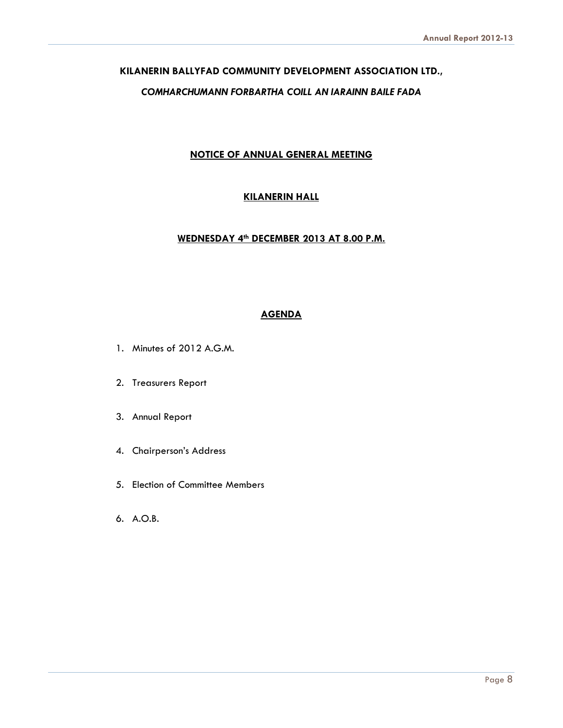#### **KILANERIN BALLYFAD COMMUNITY DEVELOPMENT ASSOCIATION LTD.,**

#### *COMHARCHUMANN FORBARTHA COILL AN IARAINN BAILE FADA*

#### **NOTICE OF ANNUAL GENERAL MEETING**

#### **KILANERIN HALL**

#### **WEDNESDAY 4th DECEMBER 2013 AT 8.00 P.M.**

#### **AGENDA**

- 1. Minutes of 2012 A.G.M.
- 2. Treasurers Report
- 3. Annual Report
- 4. Chairperson's Address
- 5. Election of Committee Members
- 6. A.O.B.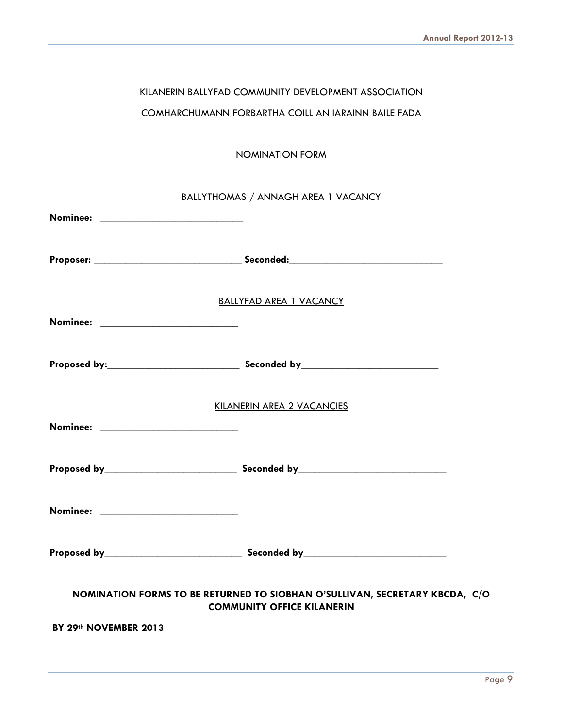#### KILANERIN BALLYFAD COMMUNITY DEVELOPMENT ASSOCIATION

#### COMHARCHUMANN FORBARTHA COILL AN IARAINN BAILE FADA

#### NOMINATION FORM

| BALLYTHOMAS / ANNAGH AREA 1 VACANCY                                                                              |                                |  |
|------------------------------------------------------------------------------------------------------------------|--------------------------------|--|
|                                                                                                                  |                                |  |
|                                                                                                                  |                                |  |
|                                                                                                                  | <b>BALLYFAD AREA 1 VACANCY</b> |  |
|                                                                                                                  |                                |  |
|                                                                                                                  |                                |  |
| KILANERIN AREA 2 VACANCIES                                                                                       |                                |  |
|                                                                                                                  |                                |  |
|                                                                                                                  |                                |  |
| Nominee: ___________________________                                                                             |                                |  |
|                                                                                                                  |                                |  |
| NOMINATION FORMS TO BE RETURNED TO SIOBHAN O'SULLIVAN, SECRETARY KBCDA, C/O<br><b>COMMUNITY OFFICE KILANERIN</b> |                                |  |
| BY 29th NOVEMBER 2013                                                                                            |                                |  |